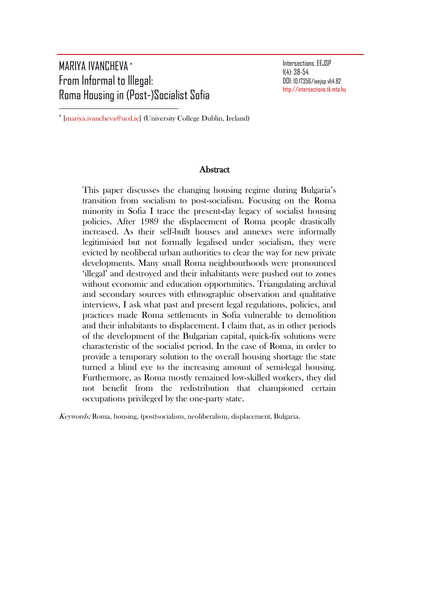# MARIYA IVANCHEVA [∗](#page-0-0) From Informal to Illegal: Roma Housing in (Post-)Socialist Sofia

 $\overline{\phantom{a}}$ 

Intersections. EEJSP 1(4): 38-54. DOI: 10.17356/ieejsp.v1i4.82 [http://intersections.tk.mta.hu](http://intersections.tk.mta.hu/)

<span id="page-0-0"></span><sup>∗</sup> [\[mariya.ivancheva@ucd.ie\]](mailto:mariya.ivancheva@ucd.ie) (University College Dublin, Ireland)

#### **Abstract**

This paper discusses the changing housing regime during Bulgaria's transition from socialism to post-socialism. Focusing on the Roma minority in Sofia I trace the present-day legacy of socialist housing policies. After 1989 the displacement of Roma people drastically increased. As their self-built houses and annexes were informally legitimisied but not formally legalised under socialism, they were evicted by neoliberal urban authorities to clear the way for new private developments. Many small Roma neighbourhoods were pronounced 'illegal' and destroyed and their inhabitants were pushed out to zones without economic and education opportunities. Triangulating archival and secondary sources with ethnographic observation and qualitative interviews, I ask what past and present legal regulations, policies, and practices made Roma settlements in Sofia vulnerable to demolition and their inhabitants to displacement. I claim that, as in other periods of the development of the Bulgarian capital, quick-fix solutions were characteristic of the socialist period. In the case of Roma, in order to provide a temporary solution to the overall housing shortage the state turned a blind eye to the increasing amount of semi-legal housing. Furthermore, as Roma mostly remained low-skilled workers, they did not benefit from the redistribution that championed certain occupations privileged by the one-party state.

Keywords: Roma, housing, (post)socialism, neoliberalism, displacement, Bulgaria.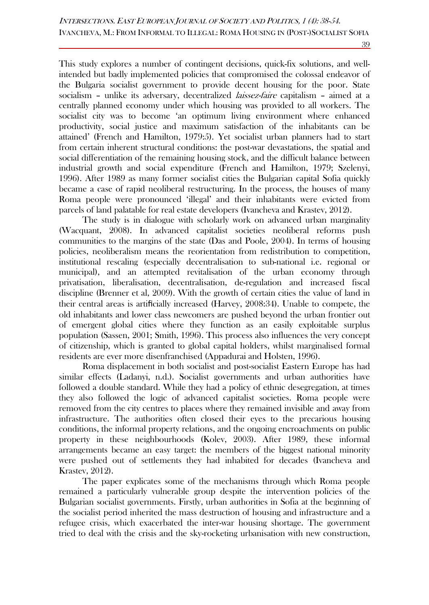39

This study explores a number of contingent decisions, quick-fix solutions, and wellintended but badly implemented policies that compromised the colossal endeavor of the Bulgaria socialist government to provide decent housing for the poor. State socialism – unlike its adversary, decentralized *laissez-faire* capitalism – aimed at a centrally planned economy under which housing was provided to all workers. The socialist city was to become 'an optimum living environment where enhanced productivity, social justice and maximum satisfaction of the inhabitants can be attained' (French and Hamilton, 1979:5). Yet socialist urban planners had to start from certain inherent structural conditions: the post-war devastations, the spatial and social differentiation of the remaining housing stock, and the difficult balance between industrial growth and social expenditure (French and Hamilton, 1979; Szelenyi, 1996). After 1989 as many former socialist cities the Bulgarian capital Sofia quickly became a case of rapid neoliberal restructuring. In the process, the houses of many Roma people were pronounced 'illegal' and their inhabitants were evicted from parcels of land palatable for real estate developers (Ivancheva and Krastev, 2012).

The study is in dialogue with scholarly work on advanced urban marginality (Wacquant, 2008). In advanced capitalist societies neoliberal reforms push communities to the margins of the state (Das and Poole, 2004). In terms of housing policies, neoliberalism means the reorientation from redistribution to competition, institutional rescaling (especially decentralisation to sub-national i.e. regional or municipal), and an attempted revitalisation of the urban economy through privatisation, liberalisation, decentralisation, de-regulation and increased fiscal discipline (Brenner et al, 2009). With the growth of certain cities the value of land in their central areas is artificially increased (Harvey, 2008:34). Unable to compete, the old inhabitants and lower class newcomers are pushed beyond the urban frontier out of emergent global cities where they function as an easily exploitable surplus population (Sassen, 2001; Smith, 1996). This process also influences the very concept of citizenship, which is granted to global capital holders, whilst marginalised formal residents are ever more disenfranchised (Appadurai and Holsten, 1996).

Roma displacement in both socialist and post-socialist Eastern Europe has had similar effects (Ladanyi, n.d.). Socialist governments and urban authorities have followed a double standard. While they had a policy of ethnic desegregation, at times they also followed the logic of advanced capitalist societies. Roma people were removed from the city centres to places where they remained invisible and away from infrastructure. The authorities often closed their eyes to the precarious housing conditions, the informal property relations, and the ongoing encroachments on public property in these neighbourhoods (Kolev, 2003). After 1989, these informal arrangements became an easy target: the members of the biggest national minority were pushed out of settlements they had inhabited for decades (Ivancheva and Krastev, 2012).

The paper explicates some of the mechanisms through which Roma people remained a particularly vulnerable group despite the intervention policies of the Bulgarian socialist governments. Firstly, urban authorities in Sofia at the beginning of the socialist period inherited the mass destruction of housing and infrastructure and a refugee crisis, which exacerbated the inter-war housing shortage. The government tried to deal with the crisis and the sky-rocketing urbanisation with new construction,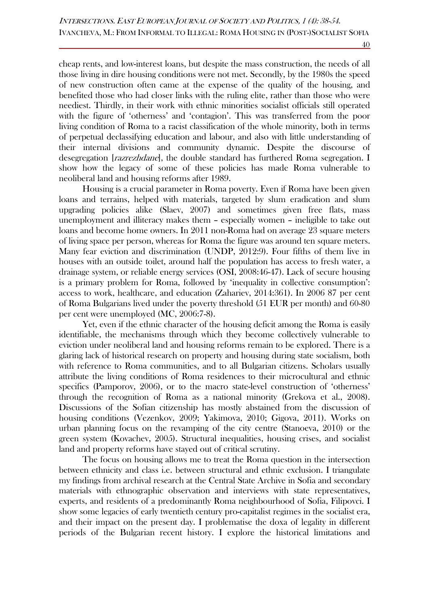cheap rents, and low-interest loans, but despite the mass construction, the needs of all those living in dire housing conditions were not met. Secondly, by the 1980s the speed of new construction often came at the expense of the quality of the housing, and benefited those who had closer links with the ruling elite, rather than those who were neediest. Thirdly, in their work with ethnic minorities socialist officials still operated with the figure of 'otherness' and 'contagion'. This was transferred from the poor living condition of Roma to a racist classification of the whole minority, both in terms of perpetual declassifying education and labour, and also with little understanding of their internal divisions and community dynamic. Despite the discourse of desegregation [razrezhdane], the double standard has furthered Roma segregation. I show how the legacy of some of these policies has made Roma vulnerable to neoliberal land and housing reforms after 1989.

Housing is a crucial parameter in Roma poverty. Even if Roma have been given loans and terrains, helped with materials, targeted by slum eradication and slum upgrading policies alike (Slaev, 2007) and sometimes given free flats, mass unemployment and illiteracy makes them – especially women – ineligible to take out loans and become home owners. In 2011 non-Roma had on average 23 square meters of living space per person, whereas for Roma the figure was around ten square meters. Many fear eviction and discrimination (UNDP, 2012:9). Four fifths of them live in houses with an outside toilet, around half the population has access to fresh water, a drainage system, or reliable energy services (OSI, 2008:46-47). Lack of secure housing is a primary problem for Roma, followed by 'inequality in collective consumption': access to work, healthcare, and education (Zahariev, 2014:361). In 2006 87 per cent of Roma Bulgarians lived under the poverty threshold (51 EUR per month) and 60-80 per cent were unemployed (MC, 2006:7-8).

Yet, even if the ethnic character of the housing deficit among the Roma is easily identifiable, the mechanisms through which they become collectively vulnerable to eviction under neoliberal land and housing reforms remain to be explored. There is a glaring lack of historical research on property and housing during state socialism, both with reference to Roma communities, and to all Bulgarian citizens. Scholars usually attribute the living conditions of Roma residences to their microcultural and ethnic specifics (Pamporov, 2006), or to the macro state-level construction of 'otherness' through the recognition of Roma as a national minority (Grekova et al., 2008). Discussions of the Sofian citizenship has mostly abstained from the discussion of housing conditions (Vezenkov, 2009; Yakimova, 2010; Gigova, 2011). Works on urban planning focus on the revamping of the city centre (Stanoeva, 2010) or the green system (Kovachev, 2005). Structural inequalities, housing crises, and socialist land and property reforms have stayed out of critical scrutiny.

The focus on housing allows me to treat the Roma question in the intersection between ethnicity and class i.e. between structural and ethnic exclusion. I triangulate my findings from archival research at the Central State Archive in Sofia and secondary materials with ethnographic observation and interviews with state representatives, experts, and residents of a predominantly Roma neighbourhood of Sofia, Filipovci. I show some legacies of early twentieth century pro-capitalist regimes in the socialist era, and their impact on the present day. I problematise the doxa of legality in different periods of the Bulgarian recent history. I explore the historical limitations and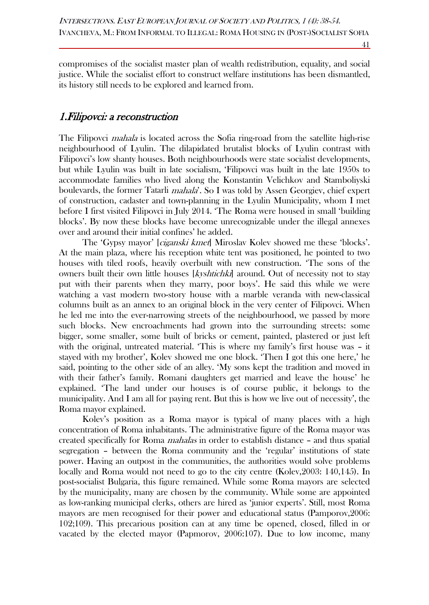compromises of the socialist master plan of wealth redistribution, equality, and social justice. While the socialist effort to construct welfare institutions has been dismantled, its history still needs to be explored and learned from.

### 1.Filipovci: a reconstruction

The Filipovci *mahala* is located across the Sofia ring-road from the satellite high-rise neighbourhood of Lyulin. The dilapidated brutalist blocks of Lyulin contrast with Filipovci's low shanty houses. Both neighbourhoods were state socialist developments, but while Lyulin was built in late socialism, 'Filipovci was built in the late 1950s to accommodate families who lived along the Konstantin Velichkov and Stamboliyski boulevards, the former Tatarli *mahala*'. So I was told by Assen Georgiev, chief expert of construction, cadaster and town-planning in the Lyulin Municipality, whom I met before I first visited Filipovci in July 2014. 'The Roma were housed in small 'building blocks'. By now these blocks have become unrecognizable under the illegal annexes over and around their initial confines' he added.

The 'Gypsy mayor' [ciganski kmet] Miroslav Kolev showed me these 'blocks'. At the main plaza, where his reception white tent was positioned, he pointed to two houses with tiled roofs, heavily overbuilt with new construction. 'The sons of the owners built their own little houses [kyshtichki] around. Out of necessity not to stay put with their parents when they marry, poor boys'. He said this while we were watching a vast modern two-story house with a marble veranda with new-classical columns built as an annex to an original block in the very center of Filipovci. When he led me into the ever-narrowing streets of the neighbourhood, we passed by more such blocks. New encroachments had grown into the surrounding streets: some bigger, some smaller, some built of bricks or cement, painted, plastered or just left with the original, untreated material. 'This is where my family's first house was – it stayed with my brother', Kolev showed me one block. 'Then I got this one here,' he said, pointing to the other side of an alley. 'My sons kept the tradition and moved in with their father's family. Romani daughters get married and leave the house' he explained. 'The land under our houses is of course public, it belongs to the municipality. And I am all for paying rent. But this is how we live out of necessity', the Roma mayor explained.

Kolev's position as a Roma mayor is typical of many places with a high concentration of Roma inhabitants. The administrative figure of the Roma mayor was created specifically for Roma mahalas in order to establish distance – and thus spatial segregation – between the Roma community and the 'regular' institutions of state power. Having an outpost in the communities, the authorities would solve problems locally and Roma would not need to go to the city centre (Kolev,2003: 140,145). In post-socialist Bulgaria, this figure remained. While some Roma mayors are selected by the municipality, many are chosen by the community. While some are appointed as low-ranking municipal clerks, others are hired as 'junior experts'. Still, most Roma mayors are men recognised for their power and educational status (Pamporov,2006: 102;109). This precarious position can at any time be opened, closed, filled in or vacated by the elected mayor (Papmorov, 2006:107). Due to low income, many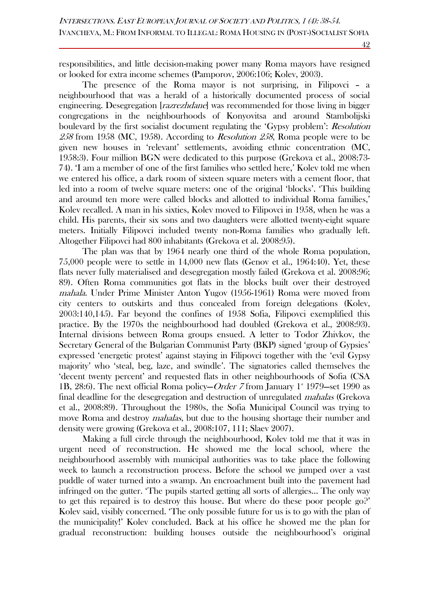responsibilities, and little decision-making power many Roma mayors have resigned or looked for extra income schemes (Pamporov, 2006:106; Kolev, 2003).

The presence of the Roma mayor is not surprising, in Filipovci – a neighbourhood that was a herald of a historically documented process of social engineering. Desegregation [*razrezhdane*] was recommended for those living in bigger congregations in the neighbourhoods of Konyovitsa and around Stambolijski boulevard by the first socialist document regulating the 'Gypsy problem': *Resolution*  $258$  from 1958 (MC, 1958). According to *Resolution 258*, Roma people were to be given new houses in 'relevant' settlements, avoiding ethnic concentration (MC, 1958:3). Four million BGN were dedicated to this purpose (Grekova et al., 2008:73- 74). 'I am a member of one of the first families who settled here,' Kolev told me when we entered his office, a dark room of sixteen square meters with a cement floor, that led into a room of twelve square meters: one of the original 'blocks'. 'This building and around ten more were called blocks and allotted to individual Roma families,' Kolev recalled. A man in his sixties, Kolev moved to Filipovci in 1958, when he was a child. His parents, their six sons and two daughters were allotted twenty-eight square meters. Initially Filipovci included twenty non-Roma families who gradually left. Altogether Filipovci had 800 inhabitants (Grekova et al. 2008:95).

The plan was that by 1964 nearly one third of the whole Roma population, 75,000 people were to settle in 14,000 new flats (Genov et al., 1964:40). Yet, these flats never fully materialised and desegregation mostly failed (Grekova et al. 2008:96; 89). Often Roma communities got flats in the blocks built over their destroyed mahala. Under Prime Minister Anton Yugov (1956-1961) Roma were moved from city centers to outskirts and thus concealed from foreign delegations (Kolev, 2003:140,145). Far beyond the confines of 1958 Sofia, Filipovci exemplified this practice. By the 1970s the neighbourhood had doubled (Grekova et al., 2008:93). Internal divisions between Roma groups ensued. A letter to Todor Zhivkov, the Secretary General of the Bulgarian Communist Party (BKP) signed 'group of Gypsies' expressed 'energetic protest' against staying in Filipovci together with the 'evil Gypsy majority' who 'steal, beg, laze, and swindle'. The signatories called themselves the 'decent twenty percent' and requested flats in other neighbourhoods of Sofia (CSA 1B, 28:6). The next official Roma policy-Order 7 from January  $1^*$  1979-set 1990 as final deadline for the desegregation and destruction of unregulated *mahalas* (Grekova et al., 2008:89). Throughout the 1980s, the Sofia Municipal Council was trying to move Roma and destroy *mahalas*, but due to the housing shortage their number and density were growing (Grekova et al., 2008:107, 111; Slaev 2007).

Making a full circle through the neighbourhood, Kolev told me that it was in urgent need of reconstruction. He showed me the local school, where the neighbourhood assembly with municipal authorities was to take place the following week to launch a reconstruction process. Before the school we jumped over a vast puddle of water turned into a swamp. An encroachment built into the pavement had infringed on the gutter. 'The pupils started getting all sorts of allergies… The only way to get this repaired is to destroy this house. But where do these poor people go?' Kolev said, visibly concerned. 'The only possible future for us is to go with the plan of the municipality!' Kolev concluded. Back at his office he showed me the plan for gradual reconstruction: building houses outside the neighbourhood's original

42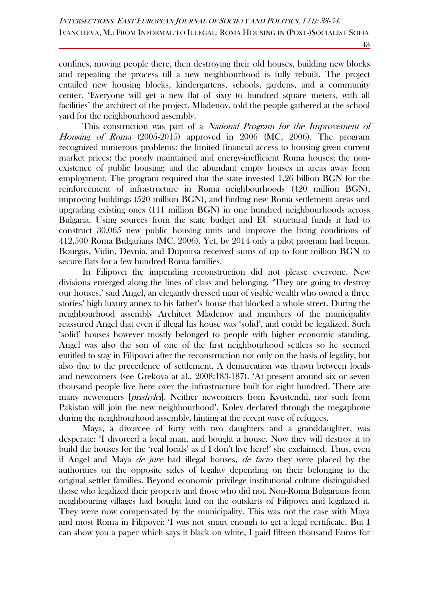confines, moving people there, then destroying their old houses, building new blocks and repeating the process till a new neighbourhood is fully rebuilt. The project entailed new housing blocks, kindergartens, schools, gardens, and a community center. 'Everyone will get a new flat of sixty to hundred square meters, with all facilities' the architect of the project, Mladenov, told the people gathered at the school yard for the neighbourhood assembly.

This construction was part of a National Program for the Improvement of Housing of Roma (2005-2015) approved in 2006 (MC, 2006). The program recognized numerous problems: the limited financial access to housing given current market prices; the poorly maintained and energy-inefficient Roma houses; the nonexistence of public housing; and the abundant empty houses in areas away from employment. The program required that the state invested 1,26 billion BGN for the reinforcement of infrastructure in Roma neighbourhoods (420 million BGN), improving buildings (520 million BGN), and finding new Roma settlement areas and upgrading existing ones (111 million BGN) in one hundred neighbourhoods across Bulgaria. Using sources from the state budget and EU structural funds it had to construct 30,065 new public housing units and improve the living conditions of 412,500 Roma Bulgarians (MC, 2006). Yet, by 2014 only a pilot program had begun. Bourgas, Vidin, Devnia, and Dupnitsa received sums of up to four million BGN to secure flats for a few hundred Roma families.

In Filipovci the impending reconstruction did not please everyone. New divisions emerged along the lines of class and belonging. 'They are going to destroy our houses,' said Angel, an elegantly dressed man of visible wealth who owned a three stories' high luxury annex to his father's house that blocked a whole street. During the neighbourhood assembly Architect Mladenov and members of the municipality reassured Angel that even if illegal his house was 'solid', and could be legalized. Such 'solid' houses however mostly belonged to people with higher economic standing. Angel was also the son of one of the first neighbourhood settlers so he seemed entitled to stay in Filipovci after the reconstruction not only on the basis of legality, but also due to the precedence of settlement. A demarcation was drawn between locals and newcomers (see Grekova at al., 2008:183-187). 'At present around six or seven thousand people live here over the infrastructure built for eight hundred. There are many newcomers [prishylci]. Neither newcomers from Kyustendil, nor such from Pakistan will join the new neighbourhood', Kolev declared through the megaphone during the neighbourhood assembly, hinting at the recent wave of refugees.

Maya, a divorcee of forty with two daughters and a granddaughter, was desperate: 'I divorced a local man, and bought a house. Now they will destroy it to build the houses for the 'real locals' as if I don't live here!' she exclaimed. Thus, even if Angel and Maya de jure had illegal houses, de facto they were placed by the authorities on the opposite sides of legality depending on their belonging to the original settler families. Beyond economic privilege institutional culture distinguished those who legalized their property and those who did not. Non-Roma Bulgarians from neighbouring villages had bought land on the outskirts of Filipovci and legalized it. They were now compensated by the municipality. This was not the case with Maya and most Roma in Filipovci: 'I was not smart enough to get a legal certificate. But I can show you a paper which says it black on white, I paid fifteen thousand Euros for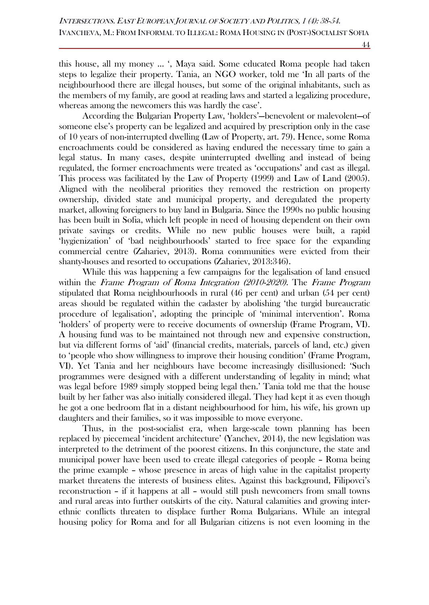this house, all my money … ', Maya said. Some educated Roma people had taken steps to legalize their property. Tania, an NGO worker, told me 'In all parts of the neighbourhood there are illegal houses, but some of the original inhabitants, such as the members of my family, are good at reading laws and started a legalizing procedure, whereas among the newcomers this was hardly the case'.

According the Bulgarian Property Law, 'holders'—benevolent or malevolent—of someone else's property can be legalized and acquired by prescription only in the case of 10 years of non-interrupted dwelling (Law of Property, art. 79). Hence, some Roma encroachments could be considered as having endured the necessary time to gain a legal status. In many cases, despite uninterrupted dwelling and instead of being regulated, the former encroachments were treated as 'occupations' and cast as illegal. This process was facilitated by the Law of Property (1999) and Law of Land (2005). Aligned with the neoliberal priorities they removed the restriction on property ownership, divided state and municipal property, and deregulated the property market, allowing foreigners to buy land in Bulgaria. Since the 1990s no public housing has been built in Sofia, which left people in need of housing dependent on their own private savings or credits. While no new public houses were built, a rapid 'hygienization' of 'bad neighbourhoods' started to free space for the expanding commercial centre (Zahariev, 2013). Roma communities were evicted from their shanty-houses and resorted to occupations (Zahariev, 2013:346).

While this was happening a few campaigns for the legalisation of land ensued within the *Frame Program of Roma Integration (2010-2020)*. The *Frame Program* stipulated that Roma neighbourhoods in rural (46 per cent) and urban (54 per cent) areas should be regulated within the cadaster by abolishing 'the turgid bureaucratic procedure of legalisation', adopting the principle of 'minimal intervention'. Roma 'holders' of property were to receive documents of ownership (Frame Program, VI). A housing fund was to be maintained not through new and expensive construction, but via different forms of 'aid' (financial credits, materials, parcels of land, etc.) given to 'people who show willingness to improve their housing condition' (Frame Program, VI). Yet Tania and her neighbours have become increasingly disillusioned: 'Such programmes were designed with a different understanding of legality in mind; what was legal before 1989 simply stopped being legal then.' Tania told me that the house built by her father was also initially considered illegal. They had kept it as even though he got a one bedroom flat in a distant neighbourhood for him, his wife, his grown up daughters and their families, so it was impossible to move everyone.

Thus, in the post-socialist era, when large-scale town planning has been replaced by piecemeal 'incident architecture' (Yanchev, 2014), the new legislation was interpreted to the detriment of the poorest citizens. In this conjuncture, the state and municipal power have been used to create illegal categories of people – Roma being the prime example – whose presence in areas of high value in the capitalist property market threatens the interests of business elites. Against this background, Filipovci's reconstruction – if it happens at all – would still push newcomers from small towns and rural areas into further outskirts of the city. Natural calamities and growing interethnic conflicts threaten to displace further Roma Bulgarians. While an integral housing policy for Roma and for all Bulgarian citizens is not even looming in the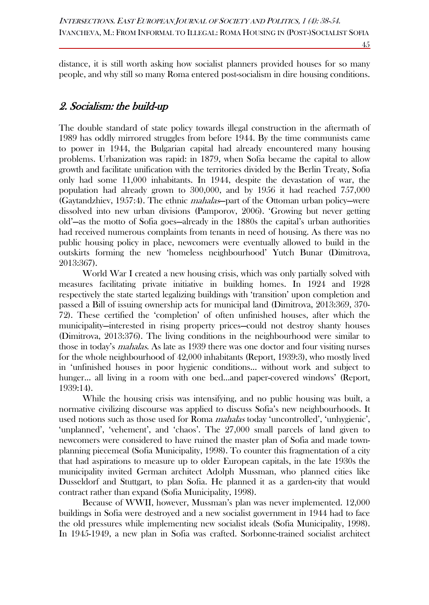distance, it is still worth asking how socialist planners provided houses for so many people, and why still so many Roma entered post-socialism in dire housing conditions.

## 2. Socialism: the build-up

The double standard of state policy towards illegal construction in the aftermath of 1989 has oddly mirrored struggles from before 1944. By the time communists came to power in 1944, the Bulgarian capital had already encountered many housing problems. Urbanization was rapid: in 1879, when Sofia became the capital to allow growth and facilitate unification with the territories divided by the Berlin Treaty, Sofia only had some 11,000 inhabitants. In 1944, despite the devastation of war, the population had already grown to 300,000, and by 1956 it had reached 757,000 (Gaytandzhiev, 1957:4). The ethnic mahalas—part of the Ottoman urban policy—were dissolved into new urban divisions (Pamporov, 2006). 'Growing but never getting old'—as the motto of Sofia goes—already in the 1880s the capital's urban authorities had received numerous complaints from tenants in need of housing. As there was no public housing policy in place, newcomers were eventually allowed to build in the outskirts forming the new 'homeless neighbourhood' Yutch Bunar (Dimitrova, 2013:367).

World War I created a new housing crisis, which was only partially solved with measures facilitating private initiative in building homes. In 1924 and 1928 respectively the state started legalizing buildings with 'transition' upon completion and passed a Bill of issuing ownership acts for municipal land (Dimitrova, 2013:369, 370- 72). These certified the 'completion' of often unfinished houses, after which the municipality—interested in rising property prices—could not destroy shanty houses (Dimitrova, 2013:376). The living conditions in the neighbourhood were similar to those in today's *mahalas*. As late as 1939 there was one doctor and four visiting nurses for the whole neighbourhood of 42,000 inhabitants (Report, 1939:3), who mostly lived in 'unfinished houses in poor hygienic conditions… without work and subject to hunger... all living in a room with one bed...and paper-covered windows' (Report, 1939:14).

While the housing crisis was intensifying, and no public housing was built, a normative civilizing discourse was applied to discuss Sofia's new neighbourhoods. It used notions such as those used for Roma *mahalas* today 'uncontrolled', 'unhygienic', 'unplanned', 'vehement', and 'chaos'. The 27,000 small parcels of land given to newcomers were considered to have ruined the master plan of Sofia and made townplanning piecemeal (Sofia Municipality, 1998). To counter this fragmentation of a city that had aspirations to measure up to older European capitals, in the late 1930s the municipality invited German architect Adolph Mussman, who planned cities like Dusseldorf and Stuttgart, to plan Sofia. He planned it as a garden-city that would contract rather than expand (Sofia Municipality, 1998).

Because of WWII, however, Mussman's plan was never implemented. 12,000 buildings in Sofia were destroyed and a new socialist government in 1944 had to face the old pressures while implementing new socialist ideals (Sofia Municipality, 1998). In 1945-1949, a new plan in Sofia was crafted. Sorbonne-trained socialist architect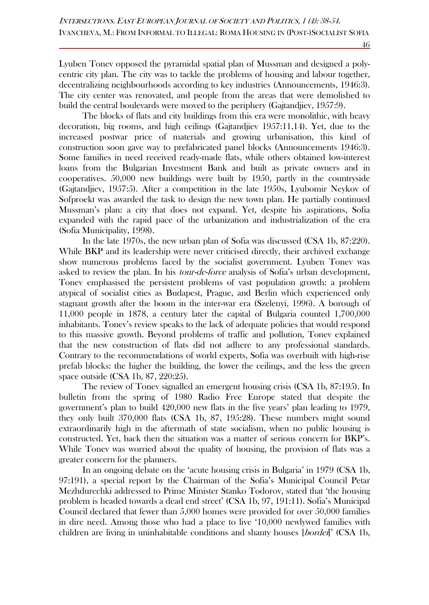Lyuben Tonev opposed the pyramidal spatial plan of Mussman and designed a polycentric city plan. The city was to tackle the problems of housing and labour together, decentralizing neighbourhoods according to key industries (Announcements, 1946:3). The city center was renovated, and people from the areas that were demolished to build the central boulevards were moved to the periphery (Gajtandjiev, 1957:9).

The blocks of flats and city buildings from this era were monolithic, with heavy decoration, big rooms, and high ceilings (Gajtandjiev 1957:11,14). Yet, due to the increased postwar price of materials and growing urbanisation, this kind of construction soon gave way to prefabricated panel blocks (Announcements 1946:3). Some families in need received ready-made flats, while others obtained low-interest loans from the Bulgarian Investment Bank and built as private owners and in cooperatives. 50,000 new buildings were built by 1950, partly in the countryside (Gajtandjiev, 1957:5). After a competition in the late 1950s, Lyubomir Neykov of Sofproekt was awarded the task to design the new town plan. He partially continued Mussman's plan: a city that does not expand. Yet, despite his aspirations, Sofia expanded with the rapid pace of the urbanization and industrialization of the era (Sofia Municipality, 1998).

In the late 1970s, the new urban plan of Sofia was discussed (CSA 1b, 87:220). While BKP and its leadership were never criticised directly, their archived exchange show numerous problems faced by the socialist government. Lyuben Tonev was asked to review the plan. In his *tour-de-force* analysis of Sofia's urban development, Tonev emphasised the persistent problems of vast population growth: a problem atypical of socialist cities as Budapest, Prague, and Berlin which experienced only stagnant growth after the boom in the inter-war era (Szelenyi, 1996). A borough of 11,000 people in 1878, a century later the capital of Bulgaria counted 1,700,000 inhabitants. Tonev's review speaks to the lack of adequate policies that would respond to this massive growth. Beyond problems of traffic and pollution, Tonev explained that the new construction of flats did not adhere to any professional standards. Contrary to the recommendations of world experts, Sofia was overbuilt with high-rise prefab blocks: the higher the building, the lower the ceilings, and the less the green space outside (CSA 1b, 87, 220:25).

The review of Tonev signalled an emergent housing crisis (CSA 1b, 87:195). In bulletin from the spring of 1980 Radio Free Europe stated that despite the government's plan to build 420,000 new flats in the five years' plan leading to 1979, they only built 370,000 flats (CSA 1b, 87, 195:28). These numbers might sound extraordinarily high in the aftermath of state socialism, when no public housing is constructed. Yet, back then the situation was a matter of serious concern for BKP's. While Tonev was worried about the quality of housing, the provision of flats was a greater concern for the planners.

In an ongoing debate on the 'acute housing crisis in Bulgaria' in 1979 (CSA 1b, 97:191), a special report by the Chairman of the Sofia's Municipal Council Petar Mezhdurechki addressed to Prime Minister Stanko Todorov, stated that 'the housing problem is headed towards a dead end street' (CSA 1b, 97, 191:11). Sofia's Municipal Council declared that fewer than 5,000 homes were provided for over 50,000 families in dire need. Among those who had a place to live '10,000 newlywed families with children are living in uninhabitable conditions and shanty houses [*bordei*]' (CSA 1b,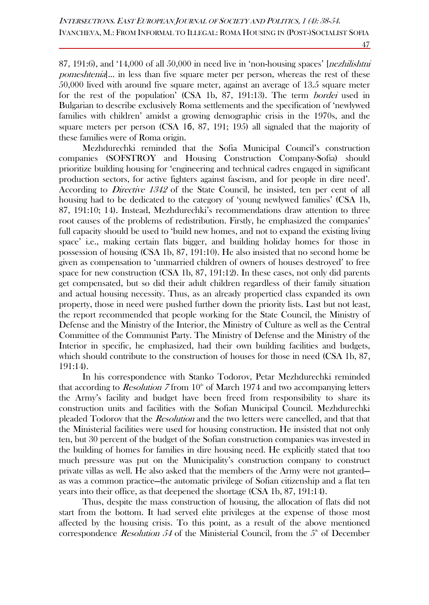87, 191:6), and  $(14,000)$  of all  $(50,000)$  in need live in 'non-housing spaces' [*nezhilishtni*] pomeshtenia]… in less than five square meter per person, whereas the rest of these 50,000 lived with around five square meter, against an average of 13.5 square meter for the rest of the population' (CSA 1b, 87, 191:13). The term bordei used in Bulgarian to describe exclusively Roma settlements and the specification of 'newlywed families with children' amidst a growing demographic crisis in the 1970s, and the square meters per person (CSA 1б, 87, 191; 195) all signaled that the majority of these families were of Roma origin.

Mezhdurechki reminded that the Sofia Municipal Council's construction companies (SOFSTROY and Housing Construction Company-Sofia) should prioritize building housing for 'engineering and technical cadres engaged in significant production sectors, for active fighters against fascism, and for people in dire need'. According to *Directive 1342* of the State Council, he insisted, ten per cent of all housing had to be dedicated to the category of 'young newlywed families' (CSA 1b, 87, 191:10; 14). Instead, Mezhdurechki's recommendations draw attention to three root causes of the problems of redistribution. Firstly, he emphasized the companies' full capacity should be used to 'build new homes, and not to expand the existing living space' i.e., making certain flats bigger, and building holiday homes for those in possession of housing (CSA 1b, 87, 191:10). He also insisted that no second home be given as compensation to 'unmarried children of owners of houses destroyed' to free space for new construction (CSA 1b, 87, 191:12). In these cases, not only did parents get compensated, but so did their adult children regardless of their family situation and actual housing necessity. Thus, as an already propertied class expanded its own property, those in need were pushed further down the priority lists. Last but not least, the report recommended that people working for the State Council, the Ministry of Defense and the Ministry of the Interior, the Ministry of Culture as well as the Central Committee of the Communist Party. The Ministry of Defense and the Ministry of the Interior in specific, he emphasized, had their own building facilities and budgets, which should contribute to the construction of houses for those in need (CSA 1b, 87, 191:14).

In his correspondence with Stanko Todorov, Petar Mezhdurechki reminded that according to *Resolution* 7 from  $10<sup>th</sup>$  of March 1974 and two accompanying letters the Army's facility and budget have been freed from responsibility to share its construction units and facilities with the Sofian Municipal Council. Mezhdurechki pleaded Todorov that the *Resolution* and the two letters were cancelled, and that that the Ministerial facilities were used for housing construction. He insisted that not only ten, but 30 percent of the budget of the Sofian construction companies was invested in the building of homes for families in dire housing need. He explicitly stated that too much pressure was put on the Municipality's construction company to construct private villas as well. He also asked that the members of the Army were not granted as was a common practice—the automatic privilege of Sofian citizenship and a flat ten years into their office, as that deepened the shortage (CSA 1b, 87, 191:14).

Thus, despite the mass construction of housing, the allocation of flats did not start from the bottom. It had served elite privileges at the expense of those most affected by the housing crisis. To this point, as a result of the above mentioned correspondence *Resolution 54* of the Ministerial Council, from the  $5<sup>th</sup>$  of December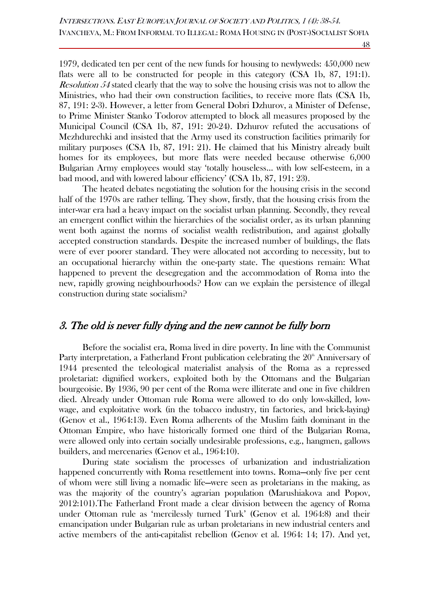1979, dedicated ten per cent of the new funds for housing to newlyweds: 450,000 new flats were all to be constructed for people in this category (CSA 1b, 87, 191:1). Resolution 54 stated clearly that the way to solve the housing crisis was not to allow the Ministries, who had their own construction facilities, to receive more flats (CSA 1b, 87, 191: 2-3). However, a letter from General Dobri Dzhurov, a Minister of Defense, to Prime Minister Stanko Todorov attempted to block all measures proposed by the Municipal Council (CSA 1b, 87, 191: 20-24). Dzhurov refuted the accusations of Mezhdurechki and insisted that the Army used its construction facilities primarily for military purposes (CSA 1b, 87, 191: 21). He claimed that his Ministry already built homes for its employees, but more flats were needed because otherwise 6,000 Bulgarian Army employees would stay 'totally houseless… with low self-esteem, in a bad mood, and with lowered labour efficiency' (CSA 1b, 87, 191: 23).

The heated debates negotiating the solution for the housing crisis in the second half of the 1970s are rather telling. They show, firstly, that the housing crisis from the inter-war era had a heavy impact on the socialist urban planning. Secondly, they reveal an emergent conflict within the hierarchies of the socialist order, as its urban planning went both against the norms of socialist wealth redistribution, and against globally accepted construction standards. Despite the increased number of buildings, the flats were of ever poorer standard. They were allocated not according to necessity, but to an occupational hierarchy within the one-party state. Тhe questions remain: What happened to prevent the desegregation and the accommodation of Roma into the new, rapidly growing neighbourhoods? How can we explain the persistence of illegal construction during state socialism?

### 3. The old is never fully dying and the new cannot be fully born

Before the socialist era, Roma lived in dire poverty. In line with the Communist Party interpretation, a Fatherland Front publication celebrating the  $20^{\circ}$  Anniversary of 1944 presented the teleological materialist analysis of the Roma as a repressed proletariat: dignified workers, exploited both by the Ottomans and the Bulgarian bourgeoisie. By 1936, 90 per cent of the Roma were illiterate and one in five children died. Already under Ottoman rule Roma were allowed to do only low-skilled, lowwage, and exploitative work (in the tobacco industry, tin factories, and brick-laying) (Genov et al., 1964:13). Even Roma adherents of the Muslim faith dominant in the Ottoman Empire, who have historically formed one third of the Bulgarian Roma, were allowed only into certain socially undesirable professions, e.g., hangmen, gallows builders, and mercenaries (Genov et al., 1964:10).

During state socialism the processes of urbanization and industrialization happened concurrently with Roma resettlement into towns. Roma—only five per cent of whom were still living a nomadic life—were seen as proletarians in the making, as was the majority of the country's agrarian population (Marushiakova and Popov, 2012:101).The Fatherland Front made a clear division between the agency of Roma under Ottoman rule as 'mercilessly turned Turk' (Genov et al. 1964:8) and their emancipation under Bulgarian rule as urban proletarians in new industrial centers and active members of the anti-capitalist rebellion (Genov et al. 1964: 14; 17). And yet,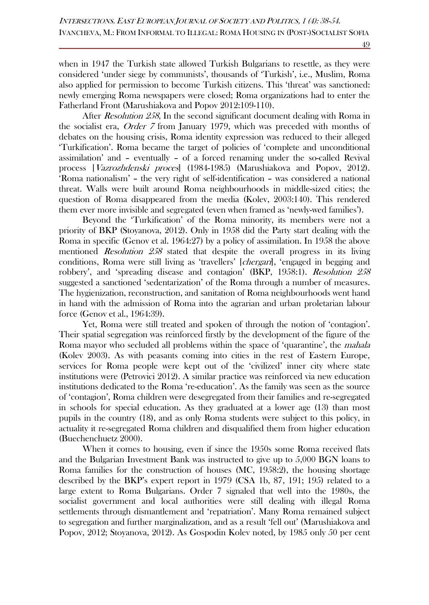when in 1947 the Turkish state allowed Turkish Bulgarians to resettle, as they were considered 'under siege by communists', thousands of 'Turkish', i.e., Muslim, Roma also applied for permission to become Turkish citizens. This 'threat' was sanctioned: newly emerging Roma newspapers were closed; Roma organizations had to enter the Fatherland Front (Marushiakova and Popov 2012:109-110).

After *Resolution 258*, In the second significant document dealing with Roma in the socialist era, Order 7 from January 1979, which was preceded with months of debates on the housing crisis, Roma identity expression was reduced to their alleged 'Turkification'. Roma became the target of policies of 'complete and unconditional assimilation' and – eventually – of a forced renaming under the so-called Revival process [Vazrozhdenski proces] (1984-1985) (Marushiakova and Popov, 2012). 'Roma nationalism' – the very right of self-identification – was considered a national threat. Walls were built around Roma neighbourhoods in middle-sized cities; the question of Roma disappeared from the media (Kolev, 2003:140). This rendered them ever more invisible and segregated (even when framed as 'newly-wed families').

Beyond the 'Turkification' of the Roma minority, its members were not a priority of BKP (Stoyanova, 2012). Only in 1958 did the Party start dealing with the Roma in specific (Genov et al. 1964:27) by a policy of assimilation. In 1958 the above mentioned Resolution 258 stated that despite the overall progress in its living conditions, Roma were still living as 'travellers' [*chergari*], 'engaged in begging and robbery', and 'spreading disease and contagion' (BKP, 1958:1). Resolution 258 suggested a sanctioned 'sedentarization' of the Roma through a number of measures. The hygienization, reconstruction, and sanitation of Roma neighbourhoods went hand in hand with the admission of Roma into the agrarian and urban proletarian labour force (Genov et al., 1964:39).

Yet, Roma were still treated and spoken of through the notion of 'contagion'. Their spatial segregation was reinforced firstly by the development of the figure of the Roma mayor who secluded all problems within the space of 'quarantine', the *mahala* (Kolev 2003). As with peasants coming into cities in the rest of Eastern Europe, services for Roma people were kept out of the 'civilized' inner city where state institutions were (Petrovici 2012). A similar practice was reinforced via new education institutions dedicated to the Roma 're-education'. As the family was seen as the source of 'contagion', Roma children were desegregated from their families and re-segregated in schools for special education. As they graduated at a lower age (13) than most pupils in the country (18), and as only Roma students were subject to this policy, in actuality it re-segregated Roma children and disqualified them from higher education (Buechenchuetz 2000).

When it comes to housing, even if since the 1950s some Roma received flats and the Bulgarian Investment Bank was instructed to give up to 5,000 BGN loans to Roma families for the construction of houses (MC, 1958:2), the housing shortage described by the BKP's expert report in 1979 (CSA 1b, 87, 191; 195) related to a large extent to Roma Bulgarians. Order 7 signaled that well into the 1980s, the socialist government and local authorities were still dealing with illegal Roma settlements through dismantlement and 'repatriation'. Many Roma remained subject to segregation and further marginalization, and as a result 'fell out' (Marushiakova and Popov, 2012; Stoyanova, 2012). As Gospodin Kolev noted, by 1985 only 50 per cent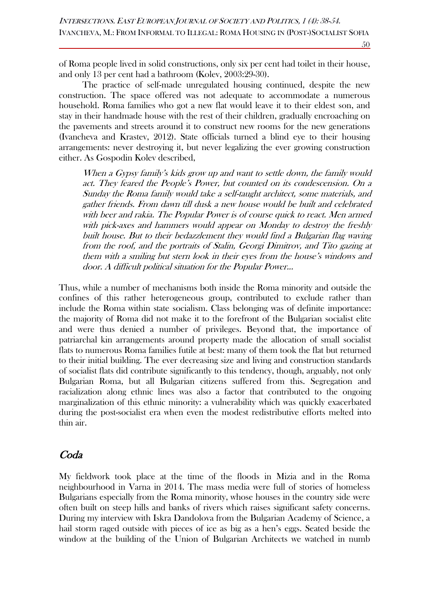of Roma people lived in solid constructions, only six per cent had toilet in their house, and only 13 per cent had a bathroom (Kolev, 2003:29-30).

The practice of self-made unregulated housing continued, despite the new construction. The space offered was not adequate to accommodate a numerous household. Roma families who got a new flat would leave it to their eldest son, and stay in their handmade house with the rest of their children, gradually encroaching on the pavements and streets around it to construct new rooms for the new generations (Ivancheva and Krastev, 2012). State officials turned a blind eye to their housing arrangements: never destroying it, but never legalizing the ever growing construction either. As Gospodin Kolev described,

When a Gypsy family's kids grow up and want to settle down, the family would act. They feared the People's Power, but counted on its condescension. On a Sunday the Roma family would take a self-taught architect, some materials, and gather friends. From dawn till dusk a new house would be built and celebrated with beer and rakia. The Popular Power is of course quick to react. Men armed with pick-axes and hammers would appear on Monday to destroy the freshly built house. But to their bedazzlement they would find a Bulgarian flag waving from the roof, and the portraits of Stalin, Georgi Dimitrov, and Tito gazing at them with a smiling but stern look in their eyes from the house's windows and door. A difficult political situation for the Popular Power...

Thus, while a number of mechanisms both inside the Roma minority and outside the confines of this rather heterogeneous group, contributed to exclude rather than include the Roma within state socialism. Class belonging was of definite importance: the majority of Roma did not make it to the forefront of the Bulgarian socialist elite and were thus denied a number of privileges. Beyond that, the importance of patriarchal kin arrangements around property made the allocation of small socialist flats to numerous Roma families futile at best: many of them took the flat but returned to their initial building. The ever decreasing size and living and construction standards of socialist flats did contribute significantly to this tendency, though, arguably, not only Bulgarian Roma, but all Bulgarian citizens suffered from this. Segregation and racialization along ethnic lines was also a factor that contributed to the ongoing marginalization of this ethnic minority: a vulnerability which was quickly exacerbated during the post-socialist era when even the modest redistributive efforts melted into thin air.

### Coda

My fieldwork took place at the time of the floods in Mizia and in the Roma neighbourhood in Varna in 2014. The mass media were full of stories of homeless Bulgarians especially from the Roma minority, whose houses in the country side were often built on steep hills and banks of rivers which raises significant safety concerns. During my interview with Iskra Dandolova from the Bulgarian Academy of Science, a hail storm raged outside with pieces of ice as big as a hen's eggs. Seated beside the window at the building of the Union of Bulgarian Architects we watched in numb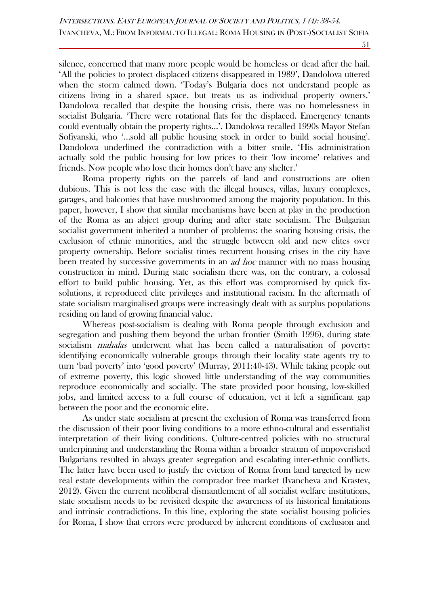silence, concerned that many more people would be homeless or dead after the hail. 'All the policies to protect displaced citizens disappeared in 1989', Dandolova uttered when the storm calmed down. 'Today's Bulgaria does not understand people as citizens living in a shared space, but treats us as individual property owners.' Dandolova recalled that despite the housing crisis, there was no homelessness in socialist Bulgaria. 'There were rotational flats for the displaced. Emergency tenants could eventually obtain the property rights…'. Dandolova recalled 1990s Mayor Stefan Sofiyanski, who '…sold all public housing stock in order to build social housing'. Dandolova underlined the contradiction with a bitter smile, 'His administration actually sold the public housing for low prices to their 'low income' relatives and friends. Now people who lose their homes don't have any shelter.'

Roma property rights on the parcels of land and constructions are often dubious. This is not less the case with the illegal houses, villas, luxury complexes, garages, and balconies that have mushroomed among the majority population. In this paper, however, I show that similar mechanisms have been at play in the production of the Roma as an abject group during and after state socialism. The Bulgarian socialist government inherited a number of problems: the soaring housing crisis, the exclusion of ethnic minorities, and the struggle between old and new elites over property ownership. Before socialist times recurrent housing crises in the city have been treated by successive governments in an ad hoc manner with no mass housing construction in mind. During state socialism there was, on the contrary, a colossal effort to build public housing. Yet, as this effort was compromised by quick fixsolutions, it reproduced elite privileges and institutional racism. In the aftermath of state socialism marginalised groups were increasingly dealt with as surplus populations residing on land of growing financial value.

Whereas post-socialism is dealing with Roma people through exclusion and segregation and pushing them beyond the urban frontier (Smith 1996), during state socialism *mahalas* underwent what has been called a naturalisation of poverty: identifying economically vulnerable groups through their locality state agents try to turn 'bad poverty' into 'good poverty' (Murray, 2011:40-43). While taking people out of extreme poverty, this logic showed little understanding of the way communities reproduce economically and socially. The state provided poor housing, low-skilled jobs, and limited access to a full course of education, yet it left a significant gap between the poor and the economic elite.

As under state socialism at present the exclusion of Roma was transferred from the discussion of their poor living conditions to a more ethno-cultural and essentialist interpretation of their living conditions. Culture-centred policies with no structural underpinning and understanding the Roma within a broader stratum of impoverished Bulgarians resulted in always greater segregation and escalating inter-ethnic conflicts. The latter have been used to justify the eviction of Roma from land targeted by new real estate developments within the comprador free market (Ivancheva and Krastev, 2012). Given the current neoliberal dismantlement of all socialist welfare institutions, state socialism needs to be revisited despite the awareness of its historical limitations and intrinsic contradictions. In this line, exploring the state socialist housing policies for Roma, I show that errors were produced by inherent conditions of exclusion and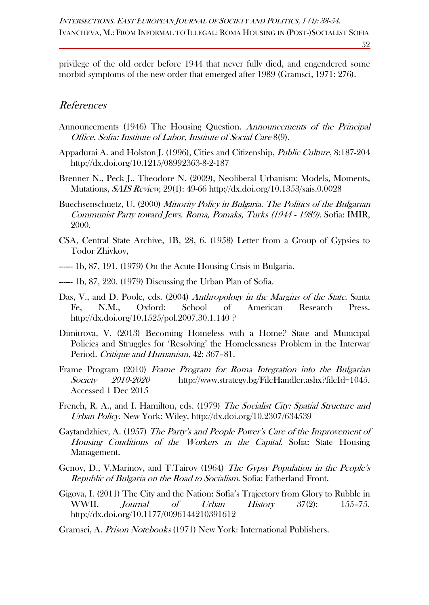privilege of the old order before 1944 that never fully died, and engendered some morbid symptoms of the new order that emerged after 1989 (Gramsci, 1971: 276).

### References

- Announcements (1946) The Housing Question. Announcements of the Principal Office. Sofia: Institute of Labor, Institute of Social Care 8(9).
- Appadurai A. and Holston J. (1996), Cities and Citizenship, Public Culture, 8:187-204 <http://dx.doi.org/10.1215/08992363-8-2-187>
- Brenner N., Peck J., Theodore N. (2009), Neoliberal Urbanism: Models, Moments, Mutations, SAIS Review, 29(1): 49-66<http://dx.doi.org/10.1353/sais.0.0028>
- Buechsenschuetz, U. (2000) Minority Policy in Bulgaria. The Politics of the Bulgarian Communist Party toward Jews, Roma, Pomaks, Turks (1944 - 1989). Sofia: IMIR, 2000.
- CSA, Central State Archive, 1B, 28, 6. (1958) Letter from a Group of Gypsies to Todor Zhivkov,
- ------ 1b, 87, 191. (1979) On the Acute Housing Crisis in Bulgaria.
- ----- 1b, 87, 220. (1979) Discussing the Urban Plan of Sofia.
- Das, V., and D. Poole, eds. (2004) Anthropology in the Margins of the State. Santa Fe, N.M., Oxford: School of American Research Press. <http://dx.doi.org/10.1525/pol.2007.30.1.140> ?
- Dimitrova, V. (2013) Becoming Homeless with a Home? State and Municipal Policies and Struggles for 'Resolving' the Homelessness Problem in the Interwar Period. Critique and Humanism, 42: 367–81.
- Frame Program (2010) Frame Program for Roma Integration into the Bulgarian Society 2010-2020 [http://www.strategy.bg/FileHandler.ashx?fileId=1045.](http://www.strategy.bg/FileHandler.ashx?fileId=1045) Accessed 1 Dec 2015
- French, R. A., and I. Hamilton, eds. (1979) The Socialist City: Spatial Structure and Urban Policy. New York: Wiley.<http://dx.doi.org/10.2307/634539>
- Gaytandzhiev, A. (1957) The Party's and People Power's Care of the Improvement of Housing Conditions of the Workers in the Capital. Sofia: State Housing Management.
- Genov, D., V.Marinov, and T.Tairov (1964) The Gypsy Population in the People's Republic of Bulgaria on the Road to Socialism. Sofia: Fatherland Front.
- Gigova, I. (2011) The City and the Nation: Sofia's Trajectory from Glory to Rubble in WWII. Journal of Urban History 37(2): 155–75. <http://dx.doi.org/10.1177/0096144210391612>
- Gramsci, A. Prison Notebooks (1971) New York: International Publishers.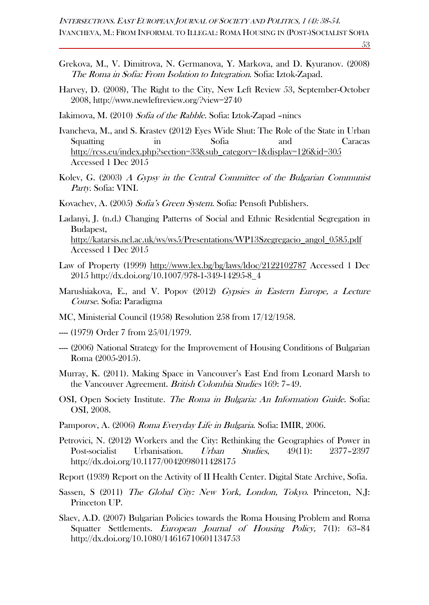- Grekova, M., V. Dimitrova, N. Germanova, Y. Markova, and D. Kyuranov. (2008) The Roma in Sofia: From Isolation to Integration. Sofia: Iztok-Zapad.
- Harvey, D. (2008), The Right to the City, New Left Review 53, September-October 2008,<http://www.newleftreview.org/?view=2740>
- Iakimova, M. (2010) Sofia of the Rabble. Sofia: Iztok-Zapad –nincs
- Ivancheva, M., and S. Krastev (2012) Eyes Wide Shut: The Role of the State in Urban Squatting in Sofia and Caracas [http://rcss.eu/index.php?section=33&sub\\_category=1&display=126&id=305](http://rcss.eu/index.php?section=33&sub_category=1&display=126&id=305) Accessed 1 Dec 2015
- Kolev, G. (2003) A Gypsy in the Central Committee of the Bulgarian Communist Party. Sofia: VINI.
- Kovachev, A. (2005) Sofia's Green System. Sofia: Pensoft Publishers.
- Ladanyi, J. (n.d.) Changing Patterns of Social and Ethnic Residential Segregation in Budapest, [http://katarsis.ncl.ac.uk/ws/ws5/Presentations/WP13Szegregacio\\_angol\\_0585.pdf](http://katarsis.ncl.ac.uk/ws/ws5/Presentations/WP13Szegregacio_angol_0585.pdf) Accessed 1 Dec 2015
- Law of Property (1999)<http://www.lex.bg/bg/laws/ldoc/2122102787> Accessed 1 Dec 2015 [http://dx.doi.org/10.1007/978-1-349-14295-8\\_4](http://dx.doi.org/10.1007/978-1-349-14295-8_4)
- Marushiakova, E., and V. Popov (2012) Gypsies in Eastern Europe, a Lecture Course. Sofia: Paradigma
- MC, Ministerial Council (1958) Resolution 258 from 17/12/1958.
- --- (1979) Order 7 from 25/01/1979.
- ---- (2006) National Strategy for the Improvement of Housing Conditions of Bulgarian Roma (2005-2015).
- Murray, K. (2011). Making Space in Vancouver's East End from Leonard Marsh to the Vancouver Agreement. British Colombia Studies 169: 7–49.
- OSI, Open Society Institute. The Roma in Bulgaria: An Information Guide. Sofia: OSI, 2008.
- Pamporov, A. (2006) Roma Everyday Life in Bulgaria. Sofia: IMIR, 2006.
- Petrovici, N. (2012) Workers and the City: Rethinking the Geographies of Power in Post-socialist Urbanisation. Urban Studies, 49(11): 2377–2397 <http://dx.doi.org/10.1177/0042098011428175>
- Report (1939) Report on the Activity of II Health Center. Digital State Archive, Sofia.
- Sassen, S (2011) The Global City: New York, London, Tokyo. Princeton, N.J. Princeton UP.
- Slaev, A.D. (2007) Bulgarian Policies towards the Roma Housing Problem and Roma Squatter Settlements. *European Journal of Housing Policy*, 7(1): 63–84 <http://dx.doi.org/10.1080/14616710601134753>